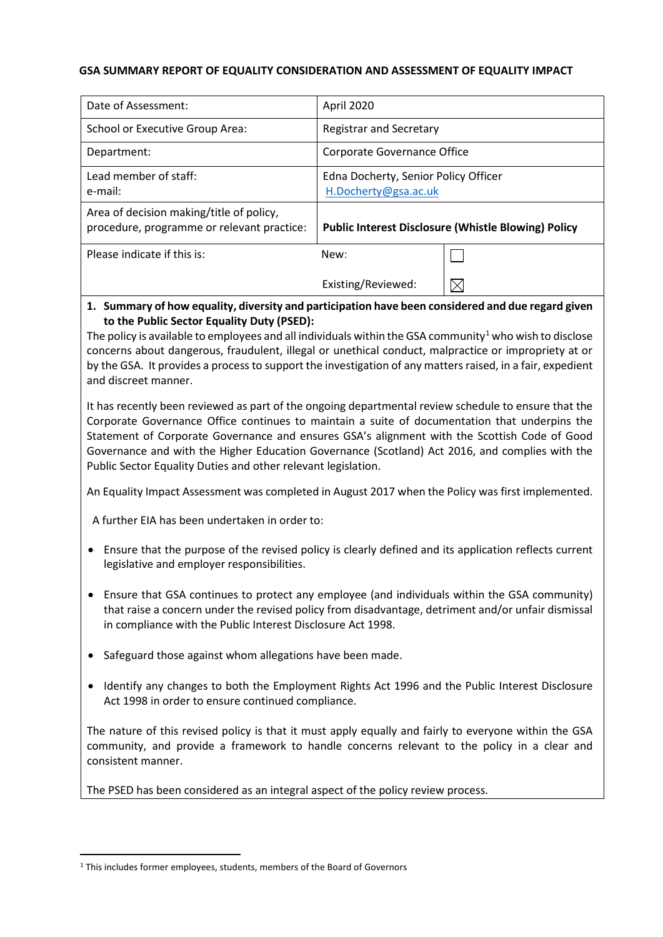# **GSA SUMMARY REPORT OF EQUALITY CONSIDERATION AND ASSESSMENT OF EQUALITY IMPACT**

| Date of Assessment:                                                                    | April 2020                                                   |  |
|----------------------------------------------------------------------------------------|--------------------------------------------------------------|--|
| School or Executive Group Area:                                                        | <b>Registrar and Secretary</b>                               |  |
| Department:                                                                            | Corporate Governance Office                                  |  |
| Lead member of staff:<br>e-mail:                                                       | Edna Docherty, Senior Policy Officer<br>H.Docherty@gsa.ac.uk |  |
| Area of decision making/title of policy,<br>procedure, programme or relevant practice: | <b>Public Interest Disclosure (Whistle Blowing) Policy</b>   |  |
| Please indicate if this is:                                                            | New:                                                         |  |
|                                                                                        | Existing/Reviewed:                                           |  |

# **1. Summary of how equality, diversity and participation have been considered and due regard given to the Public Sector Equality Duty (PSED):**

The policy is available to employees and all individuals within the GSA community<sup>[1](#page-0-0)</sup> who wish to disclose concerns about dangerous, fraudulent, illegal or unethical conduct, malpractice or impropriety at or by the GSA. It provides a process to support the investigation of any matters raised, in a fair, expedient and discreet manner.

It has recently been reviewed as part of the ongoing departmental review schedule to ensure that the Corporate Governance Office continues to maintain a suite of documentation that underpins the Statement of Corporate Governance and ensures GSA's alignment with the Scottish Code of Good Governance and with the Higher Education Governance (Scotland) Act 2016, and complies with the Public Sector Equality Duties and other relevant legislation.

An Equality Impact Assessment was completed in August 2017 when the Policy was first implemented.

A further EIA has been undertaken in order to:

- Ensure that the purpose of the revised policy is clearly defined and its application reflects current legislative and employer responsibilities.
- Ensure that GSA continues to protect any employee (and individuals within the GSA community) that raise a concern under the revised policy from disadvantage, detriment and/or unfair dismissal in compliance with the Public Interest Disclosure Act 1998.
- Safeguard those against whom allegations have been made.
- Identify any changes to both the Employment Rights Act 1996 and the Public Interest Disclosure Act 1998 in order to ensure continued compliance.

The nature of this revised policy is that it must apply equally and fairly to everyone within the GSA community, and provide a framework to handle concerns relevant to the policy in a clear and consistent manner.

The PSED has been considered as an integral aspect of the policy review process.

<span id="page-0-0"></span> <sup>1</sup> This includes former employees, students, members of the Board of Governors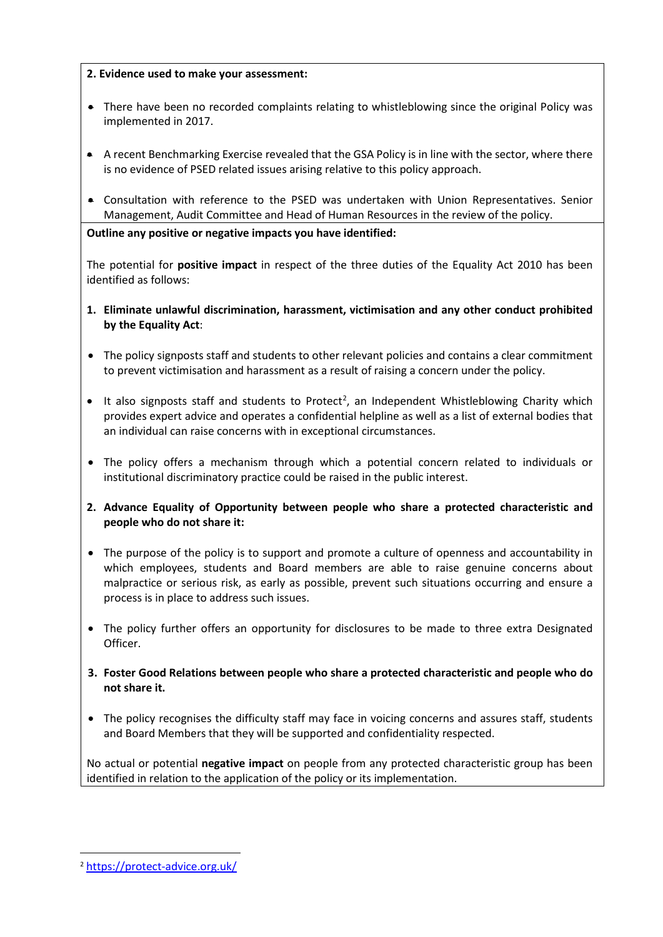# **2. Evidence used to make your assessment:**

- There have been no recorded complaints relating to whistleblowing since the original Policy was implemented in 2017.
- A recent Benchmarking Exercise revealed that the GSA Policy is in line with the sector, where there is no evidence of PSED related issues arising relative to this policy approach.
- Consultation with reference to the PSED was undertaken with Union Representatives. Senior Management, Audit Committee and Head of Human Resources in the review of the policy.

**Outline any positive or negative impacts you have identified:** 

The potential for **positive impact** in respect of the three duties of the Equality Act 2010 has been identified as follows:

- **1. Eliminate unlawful discrimination, harassment, victimisation and any other conduct prohibited by the Equality Act**:
- The policy signposts staff and students to other relevant policies and contains a clear commitment to prevent victimisation and harassment as a result of raising a concern under the policy.
- $\bullet$  It also signposts staff and students to Protect<sup>[2](#page-1-0)</sup>, an Independent Whistleblowing Charity which provides expert advice and operates a confidential helpline as well as a list of external bodies that an individual can raise concerns with in exceptional circumstances.
- The policy offers a mechanism through which a potential concern related to individuals or institutional discriminatory practice could be raised in the public interest.
- **2. Advance Equality of Opportunity between people who share a protected characteristic and people who do not share it:**
- The purpose of the policy is to support and promote a culture of openness and accountability in which employees, students and Board members are able to raise genuine concerns about malpractice or serious risk, as early as possible, prevent such situations occurring and ensure a process is in place to address such issues.
- The policy further offers an opportunity for disclosures to be made to three extra Designated Officer.
- **3. Foster Good Relations between people who share a protected characteristic and people who do not share it.**
- The policy recognises the difficulty staff may face in voicing concerns and assures staff, students and Board Members that they will be supported and confidentiality respected.

No actual or potential **negative impact** on people from any protected characteristic group has been identified in relation to the application of the policy or its implementation.

<span id="page-1-0"></span> <sup>2</sup> <https://protect-advice.org.uk/>